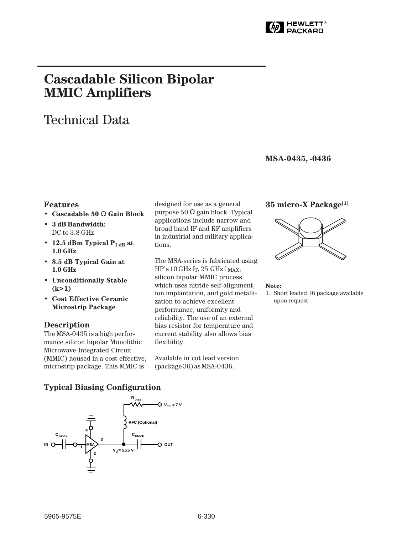

# **Cascadable Silicon Bipolar MMIC␣ Amplifiers**

# Technical Data

#### **MSA-0435, -0436**

#### **Features**

- **Cascadable 50** Ω **Gain Block**
- **3 dB Bandwidth:** DC to 3.8 GHz
- 12.5 dBm Typical  $P_{1 dB}$  at **1.0␣ GHz**
- **8.5 dB Typical Gain at 1.0␣ GHz**
- **Unconditionally Stable (k>1)**
- **Cost Effective Ceramic Microstrip Package**

### **Description**

The MSA-0435 is a high performance silicon bipolar Monolithic Microwave Integrated Circuit (MMIC) housed in a cost effective, microstrip package. This MMIC is

designed for use as a general purpose 50 Ω gain block. Typical applications include narrow and broad band IF and RF amplifiers in industrial and military applications.

The MSA-series is fabricated using  $HP's 10 GHz$  fr, 25 GHz f MAX, silicon bipolar MMIC process which uses nitride self-alignment, ion implantation, and gold metallization to achieve excellent performance, uniformity and reliability. The use of an external bias resistor for temperature and current stability also allows bias flexibility.

Available in cut lead version (package 36) as MSA-0436.

## **35 micro-X Package[1]**



#### **Note:**

1. Short leaded 36 package available upon request.

### **Typical Biasing Configuration**

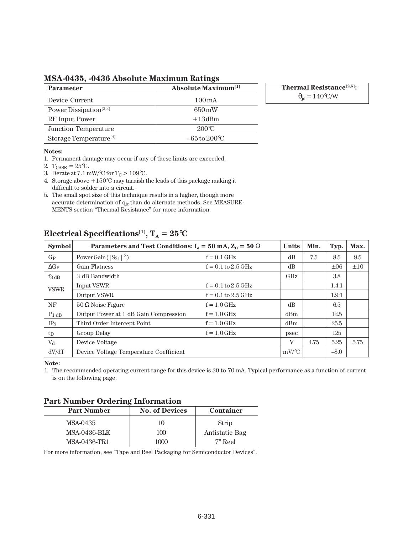## **MSA-0435, -0436 Absolute Maximum Ratings**

| <b>Parameter</b>                   | <b>Absolute Maximum</b> <sup>[1]</sup> |
|------------------------------------|----------------------------------------|
| Device Current                     | $100 \,\mathrm{mA}$                    |
| Power Dissipation <sup>[2,3]</sup> | $650 \,\mathrm{mW}$                    |
| RF Input Power                     | $+13$ dBm                              |
| Junction Temperature               | $200^{\circ}$ C                        |
| Storage Temperature <sup>[4]</sup> | $-65$ to $200^{\circ}$ C               |

**Thermal Resistance[2,5]:**

 $\theta_{\rm jc} = 140\degree\text{C/W}$ 

#### **Notes:**

- 1. Permanent damage may occur if any of these limits are exceeded.
- 2.  $T_{CASE} = 25$ °C.
- 3. Derate at 7.1 mW/°C for  $T_C > 109$ °C.
- 4. Storage above +150°C may tarnish the leads of this package making it difficult to solder into a circuit.
- 5. The small spot size of this technique results in a higher, though more accurate determination of  $q_{jc}$  than do alternate methods. See MEASURE-MENTS section "Thermal Resistance" for more information.

| <b>Symbol</b> | Parameters and Test Conditions: $I_d = 50$ mA, $Z_0 = 50 \Omega$ | <b>Units</b>           | Min.     | Typ. | Max.      |           |
|---------------|------------------------------------------------------------------|------------------------|----------|------|-----------|-----------|
| $G_{P}$       | Power Gain ( $ S_{21} ^2$ )                                      | $f = 0.1$ GHz          | dB       | 7.5  | 8.5       | 9.5       |
| $\Delta G_P$  | <b>Gain Flatness</b>                                             | $f = 0.1$ to 2.5 GHz   | dB       |      | $\pm 0.6$ | $\pm 1.0$ |
| $f_3$ dB      | 3 dB Bandwidth                                                   |                        | GHz      |      | 3.8       |           |
| <b>VSWR</b>   | Input VSWR                                                       | $f = 0.1$ to $2.5$ GHz |          |      | 1.4:1     |           |
|               | <b>Output VSWR</b>                                               | $f = 0.1$ to $2.5$ GHz |          |      | 1.9:1     |           |
| NF            | $50 \Omega$ Noise Figure                                         | $f = 1.0$ GHz          | dB       |      | 6.5       |           |
| $P_1$ dB      | Output Power at 1 dB Gain Compression                            | $f = 1.0$ GHz          | dBm      |      | 12.5      |           |
| $IP_3$        | Third Order Intercept Point                                      | $f = 1.0$ GHz          | dBm      |      | 25.5      |           |
| $t_{\rm D}$   | Group Delay                                                      | $f = 1.0$ GHz          | psec     |      | 125       |           |
| $V_{\rm d}$   | Device Voltage                                                   |                        | V        | 4.75 | 5.25      | 5.75      |
| dV/dT         | Device Voltage Temperature Coefficient                           |                        | $mV$ /°C |      | $-8.0$    |           |

# **Electrical Specifications<sup>[1]</sup>,**  $T_A = 25^\circ \text{C}$

**Note:**

1. The recommended operating current range for this device is 30 to 70 mA. Typical performance as a function of current is on the following page.

### **Part Number Ordering Information**

| <b>Part Number</b>  | <b>No. of Devices</b> | Container      |  |  |
|---------------------|-----------------------|----------------|--|--|
| MSA-0435            | 10                    | Strip          |  |  |
| <b>MSA-0436-BLK</b> | 100                   | Antistatic Bag |  |  |
| MSA-0436-TR1        | 1000                  | 7" Reel        |  |  |

For more information, see "Tape and Reel Packaging for Semiconductor Devices".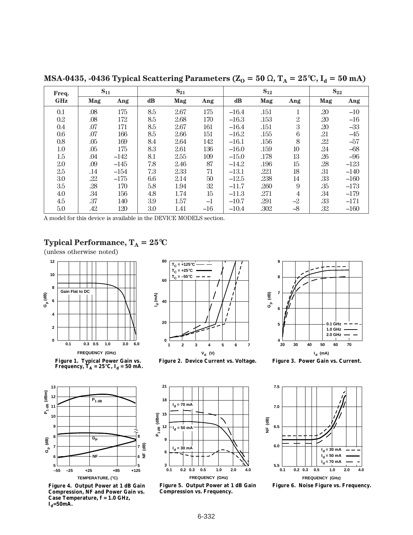| Freq.      | $S_{11}$ |        | $S_{21}$      |      | $S_{12}$ |         |      | $S_{22}$       |     |        |
|------------|----------|--------|---------------|------|----------|---------|------|----------------|-----|--------|
| <b>GHz</b> | Mag      | Ang    | $\mathbf{dB}$ | Mag  | Ang      | dB      | Mag  | Ang            | Mag | Ang    |
| 0.1        | .08      | 175    | 8.5           | 2.67 | 175      | $-16.4$ | .151 |                | .20 | $-10$  |
| 0.2        | .08      | 172    | 8.5           | 2.68 | 170      | $-16.3$ | .153 | $\mathbf{2}$   | .20 | $-16$  |
| 0.4        | .07      | 171    | 8.5           | 2.67 | 161      | $-16.4$ | .151 | 3              | .20 | $-33$  |
| 0.6        | .07      | 166    | 8.5           | 2.66 | 151      | $-16.2$ | .155 | 6              | .21 | $-45$  |
| 0.8        | .05      | 169    | 8.4           | 2.64 | 142      | $-16.1$ | .156 | 8              | .22 | $-57$  |
| 1.0        | .05      | 175    | 8.3           | 2.61 | 136      | $-16.0$ | .159 | 10             | .24 | $-68$  |
| 1.5        | .04      | $-142$ | 8.1           | 2.55 | 109      | $-15.0$ | .178 | 13             | .26 | $-96$  |
| 2.0        | .09      | $-145$ | 7.8           | 2.46 | 87       | $-14.2$ | .196 | 15             | .28 | $-123$ |
| 2.5        | .14      | $-154$ | 7.3           | 2.33 | 71       | $-13.1$ | .221 | 18             | .31 | $-140$ |
| 3.0        | .22      | $-175$ | 6.6           | 2.14 | $50\,$   | $-12.5$ | .238 | 14             | .33 | $-160$ |
| 3.5        | .28      | 170    | 5.8           | 1.94 | 32       | $-11.7$ | .260 | 9              | .35 | $-173$ |
| 4.0        | .34      | 156    | 4.8           | 1.74 | 15       | $-11.3$ | .271 | $\overline{4}$ | .34 | $-179$ |
| 4.5        | .37      | 140    | 3.9           | 1.57 | $-1$     | $-10.7$ | .291 | $-2$           | .33 | $-171$ |
| 5.0        | .42      | 120    | 3.0           | 1.41 | $-16$    | $-10.4$ | .302 | $-8$           | .32 | $-160$ |

**MSA-0435, -0436 Typical Scattering Parameters (** $Z_0 = 50 \Omega$ **,**  $T_A = 25^{\circ}C$ **,**  $I_d = 50$  **mA)** 

A model for this device is available in the DEVICE MODELS section.

# **Typical Performance,**  $T_A = 25^{\circ}C$

(unless otherwise noted)



Figure 1. Typical Power Gain vs.<br>Frequency, T<sub>A</sub> = 25°C, I<sub>d</sub> = 50 mA.





**Figure 3. Power Gain vs. Current.**



**Figure 4. Output Power at 1 dB Gain Compression, NF and Power Gain vs. Case Temperature, f = 1.0 GHz,**   $I_d = 50$ mA.



**Figure 5. Output Power at 1 dB Gain Compression vs. Frequency.**



**Figure 6. Noise Figure vs. Frequency.**